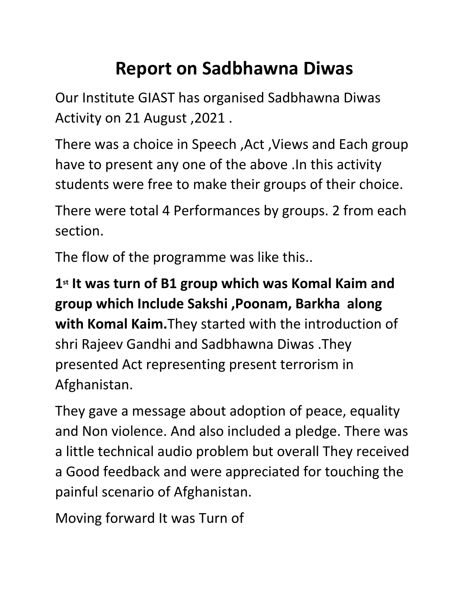## **Report on Sadbhawna Diwas**

Our Institute GIAST has organised Sadbhawna Diwas Activity on 21 August ,2021 .

There was a choice in Speech ,Act ,Views and Each group have to present any one of the above .In this activity students were free to make their groups of their choice.

There were total 4 Performances by groups. 2 from each section.

The flow of the programme was like this..

**1st It was turn of B1 group which was Komal Kaim and group which Include Sakshi ,Poonam, Barkha along with Komal Kaim.**They started with the introduction of shri Rajeev Gandhi and Sadbhawna Diwas .They presented Act representing present terrorism in Afghanistan.

They gave a message about adoption of peace, equality and Non violence. And also included a pledge. There was a little technical audio problem but overall They received a Good feedback and were appreciated for touching the painful scenario of Afghanistan.

Moving forward It was Turn of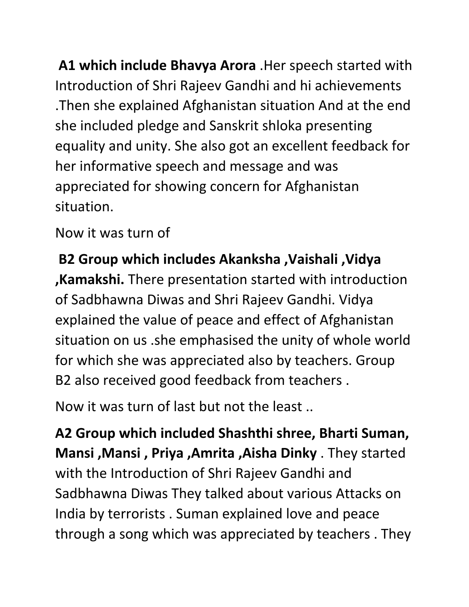**A1 which include Bhavya Arora** .Her speech started with Introduction of Shri Rajeev Gandhi and hi achievements .Then she explained Afghanistan situation And at the end she included pledge and Sanskrit shloka presenting equality and unity. She also got an excellent feedback for her informative speech and message and was appreciated for showing concern for Afghanistan situation.

Now it was turn of

**B2 Group which includes Akanksha ,Vaishali ,Vidya ,Kamakshi.** There presentation started with introduction of Sadbhawna Diwas and Shri Rajeev Gandhi. Vidya explained the value of peace and effect of Afghanistan situation on us .she emphasised the unity of whole world for which she was appreciated also by teachers. Group B2 also received good feedback from teachers .

Now it was turn of last but not the least ..

**A2 Group which included Shashthi shree, Bharti Suman, Mansi ,Mansi , Priya ,Amrita ,Aisha Dinky** . They started with the Introduction of Shri Rajeev Gandhi and Sadbhawna Diwas They talked about various Attacks on India by terrorists . Suman explained love and peace through a song which was appreciated by teachers . They